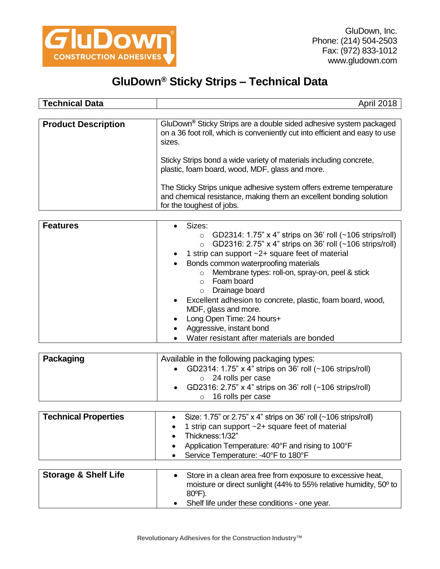

## **GluDown® Sticky Strips – Technical Data**

| <b>Technical Data</b>      | <b>April 2018</b>                                                                                                                                                       |
|----------------------------|-------------------------------------------------------------------------------------------------------------------------------------------------------------------------|
| <b>Product Description</b> | GluDown <sup>®</sup> Sticky Strips are a double sided adhesive system packaged<br>on a 36 foot roll, which is conveniently cut into efficient and easy to use<br>sizes. |
|                            | Sticky Strips bond a wide variety of materials including concrete,<br>plastic, foam board, wood, MDF, glass and more.                                                   |
|                            | The Sticky Strips unique adhesive system offers extreme temperature<br>and chemical resistance, making them an excellent bonding solution<br>for the toughest of jobs.  |

| <b>Features</b> | Sizes:                                                              |
|-----------------|---------------------------------------------------------------------|
|                 | GD2314: 1.75" x 4" strips on 36' roll (~106 strips/roll)<br>$\circ$ |
|                 | ○ GD2316: 2.75" x 4" strips on 36' roll (~106 strips/roll)          |
|                 | 1 strip can support ~2+ square feet of material                     |
|                 | Bonds common waterproofing materials                                |
|                 | Membrane types: roll-on, spray-on, peel & stick<br>$\circ$          |
|                 | Foam board                                                          |
|                 | Drainage board<br>$\circ$                                           |
|                 | Excellent adhesion to concrete, plastic, foam board, wood,          |
|                 | MDF, glass and more.                                                |
|                 | Long Open Time: 24 hours+                                           |
|                 | Aggressive, instant bond                                            |
|                 | Water resistant after materials are bonded                          |

| Packaging | Available in the following packaging types:<br>GD2314: 1.75" x 4" strips on 36' roll (~106 strips/roll)<br>$\circ$ 24 rolls per case |
|-----------|--------------------------------------------------------------------------------------------------------------------------------------|
|           | GD2316: 2.75" x 4" strips on 36' roll (~106 strips/roll)<br>$\circ$ 16 rolls per case                                                |

| <b>Technical Properties</b>     | • Size: 1.75" or 2.75" $\times$ 4" strips on 36' roll (~106 strips/roll)<br>1 strip can support $\sim$ 2+ square feet of material<br>$\bullet$<br>Thickness: 1/32"<br>Application Temperature: 40°F and rising to 100°F<br>Service Temperature: -40°F to 180°F |
|---------------------------------|----------------------------------------------------------------------------------------------------------------------------------------------------------------------------------------------------------------------------------------------------------------|
| <b>Storage &amp; Shelf Life</b> | Store in a clean area free from exposure to excessive heat,<br>moisture or direct sunlight (44% to 55% relative humidity, 50° to<br>80°F).                                                                                                                     |

Shelf life under these conditions - one year.